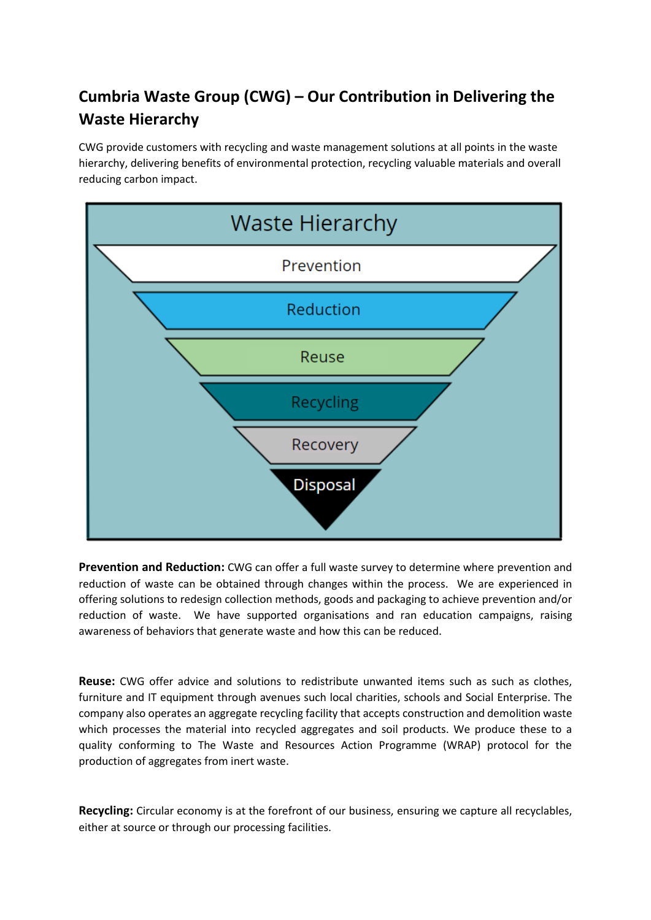## **Cumbria Waste Group (CWG) – Our Contribution in Delivering the Waste Hierarchy**

CWG provide customers with recycling and waste management solutions at all points in the waste hierarchy, delivering benefits of environmental protection, recycling valuable materials and overall reducing carbon impact.



**Prevention and Reduction:** CWG can offer a full waste survey to determine where prevention and reduction of waste can be obtained through changes within the process. We are experienced in offering solutions to redesign collection methods, goods and packaging to achieve prevention and/or reduction of waste. We have supported organisations and ran education campaigns, raising awareness of behaviors that generate waste and how this can be reduced.

**Reuse:** CWG offer advice and solutions to redistribute unwanted items such as such as clothes, furniture and IT equipment through avenues such local charities, schools and Social Enterprise. The company also operates an aggregate recycling facility that accepts construction and demolition waste which processes the material into recycled aggregates and soil products. We produce these to a quality conforming to The Waste and Resources Action Programme (WRAP) protocol for the production of aggregates from inert waste.

**Recycling:** Circular economy is at the forefront of our business, ensuring we capture all recyclables, either at source or through our processing facilities.